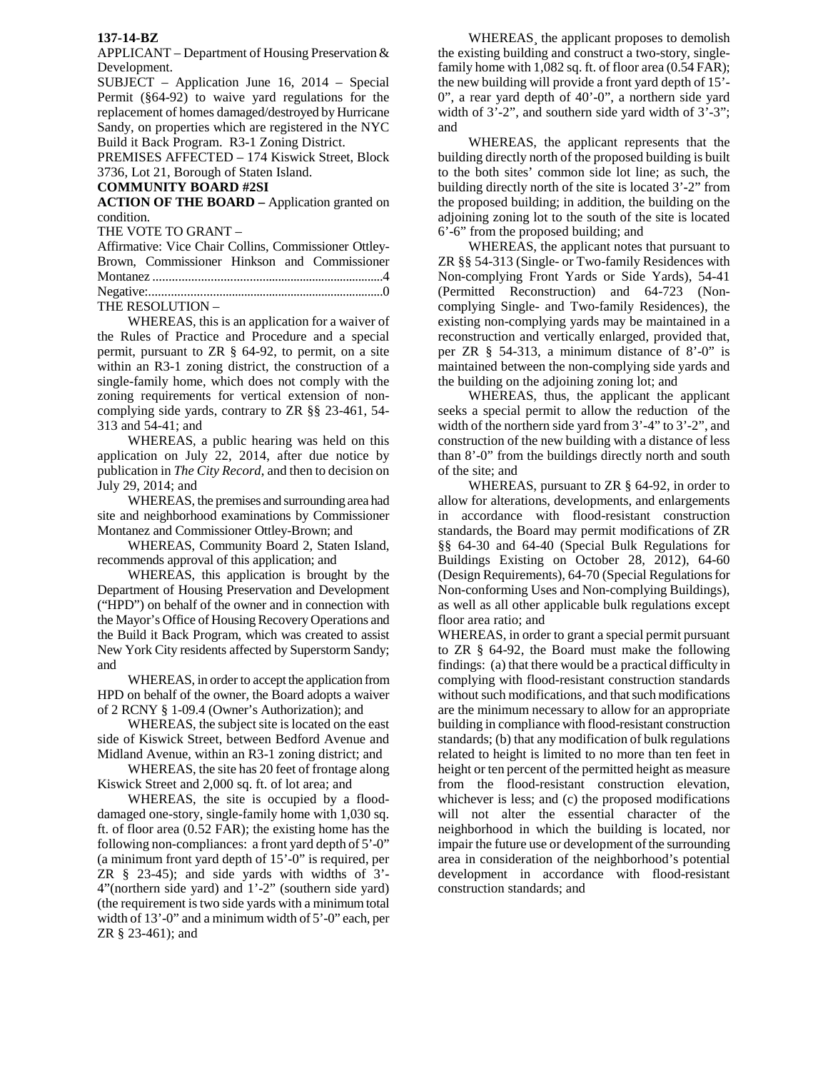## **137-14-BZ**

APPLICANT – Department of Housing Preservation & Development.

SUBJECT – Application June 16, 2014 – Special Permit (§64-92) to waive yard regulations for the replacement of homes damaged/destroyed by Hurricane Sandy, on properties which are registered in the NYC Build it Back Program. R3-1 Zoning District.

PREMISES AFFECTED – 174 Kiswick Street, Block 3736, Lot 21, Borough of Staten Island.

## **COMMUNITY BOARD #2SI**

**ACTION OF THE BOARD –** Application granted on condition.

THE VOTE TO GRANT –

|                  |  | Affirmative: Vice Chair Collins, Commissioner Ottley- |
|------------------|--|-------------------------------------------------------|
|                  |  | Brown, Commissioner Hinkson and Commissioner          |
|                  |  |                                                       |
|                  |  |                                                       |
| THE RESOLUTION - |  |                                                       |

 WHEREAS, this is an application for a waiver of the Rules of Practice and Procedure and a special permit, pursuant to ZR § 64-92, to permit, on a site within an R3-1 zoning district, the construction of a single-family home, which does not comply with the zoning requirements for vertical extension of noncomplying side yards, contrary to ZR §§ 23-461, 54- 313 and 54-41; and

WHEREAS, a public hearing was held on this application on July 22, 2014, after due notice by publication in *The City Record*, and then to decision on July 29, 2014; and

WHEREAS, the premises and surrounding area had site and neighborhood examinations by Commissioner Montanez and Commissioner Ottley-Brown; and

WHEREAS, Community Board 2, Staten Island, recommends approval of this application; and

WHEREAS, this application is brought by the Department of Housing Preservation and Development ("HPD") on behalf of the owner and in connection with the Mayor's Office of Housing Recovery Operations and the Build it Back Program, which was created to assist New York City residents affected by Superstorm Sandy; and

WHEREAS, in order to accept the application from HPD on behalf of the owner, the Board adopts a waiver of 2 RCNY § 1-09.4 (Owner's Authorization); and

WHEREAS, the subject site is located on the east side of Kiswick Street, between Bedford Avenue and Midland Avenue, within an R3-1 zoning district; and

WHEREAS, the site has 20 feet of frontage along Kiswick Street and 2,000 sq. ft. of lot area; and

WHEREAS, the site is occupied by a flooddamaged one-story, single-family home with 1,030 sq. ft. of floor area (0.52 FAR); the existing home has the following non-compliances: a front yard depth of 5'-0" (a minimum front yard depth of 15'-0" is required, per ZR § 23-45); and side yards with widths of 3'- 4"(northern side yard) and 1'-2" (southern side yard) (the requirement is two side yards with a minimum total width of 13'-0" and a minimum width of 5'-0" each, per ZR § 23-461); and

WHEREAS¸ the applicant proposes to demolish the existing building and construct a two-story, singlefamily home with 1,082 sq. ft. of floor area  $(0.54 \text{ FAR})$ ; the new building will provide a front yard depth of 15'- 0", a rear yard depth of 40'-0", a northern side yard width of  $3'-2$ ", and southern side yard width of  $3'-3$ "; and

WHEREAS, the applicant represents that the building directly north of the proposed building is built to the both sites' common side lot line; as such, the building directly north of the site is located 3'-2" from the proposed building; in addition, the building on the adjoining zoning lot to the south of the site is located 6'-6" from the proposed building; and

WHEREAS, the applicant notes that pursuant to ZR §§ 54-313 (Single- or Two-family Residences with Non-complying Front Yards or Side Yards), 54-41 (Permitted Reconstruction) and 64-723 (Noncomplying Single- and Two-family Residences), the existing non-complying yards may be maintained in a reconstruction and vertically enlarged, provided that, per ZR § 54-313, a minimum distance of 8'-0" is maintained between the non-complying side yards and the building on the adjoining zoning lot; and

WHEREAS, thus, the applicant the applicant seeks a special permit to allow the reduction of the width of the northern side yard from 3'-4" to 3'-2", and construction of the new building with a distance of less than 8'-0" from the buildings directly north and south of the site; and

WHEREAS, pursuant to ZR § 64-92, in order to allow for alterations, developments, and enlargements in accordance with flood-resistant construction standards, the Board may permit modifications of ZR §§ 64-30 and 64-40 (Special Bulk Regulations for Buildings Existing on October 28, 2012), 64-60 (Design Requirements), 64-70 (Special Regulations for Non-conforming Uses and Non-complying Buildings), as well as all other applicable bulk regulations except floor area ratio; and

WHEREAS, in order to grant a special permit pursuant to ZR § 64-92, the Board must make the following findings: (a) that there would be a practical difficulty in complying with flood-resistant construction standards without such modifications, and that such modifications are the minimum necessary to allow for an appropriate building in compliance with flood-resistant construction standards; (b) that any modification of bulk regulations related to height is limited to no more than ten feet in height or ten percent of the permitted height as measure from the flood-resistant construction elevation, whichever is less; and (c) the proposed modifications will not alter the essential character of the neighborhood in which the building is located, nor impair the future use or development of the surrounding area in consideration of the neighborhood's potential development in accordance with flood-resistant construction standards; and